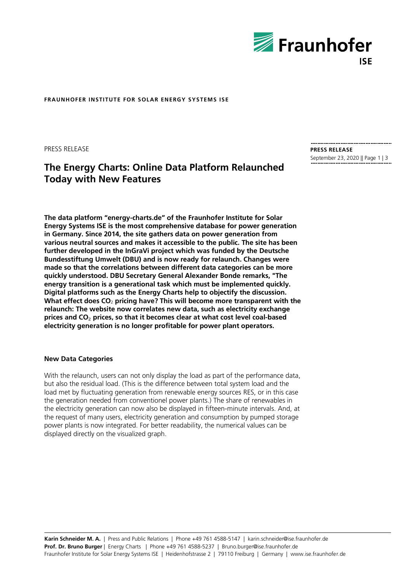

**FRAUNHOFER INSTITUTE FOR SOLAR ENERGY SYSTEMS ISE**

PRESS RELEASE

# **The Energy Charts: Online Data Platform Relaunched Today with New Features**

**PRESS RELEASE** September 23, 2020 || Page 1 | 3

**The data platform "energy-charts.de" of the Fraunhofer Institute for Solar Energy Systems ISE is the most comprehensive database for power generation in Germany. Since 2014, the site gathers data on power generation from various neutral sources and makes it accessible to the public. The site has been further developed in the InGraVi project which was funded by the Deutsche Bundesstiftung Umwelt (DBU) and is now ready for relaunch. Changes were made so that the correlations between different data categories can be more quickly understood. DBU Secretary General Alexander Bonde remarks, "The energy transition is a generational task which must be implemented quickly. Digital platforms such as the Energy Charts help to objectify the discussion. What effect does CO**<sup>2</sup> **pricing have? This will become more transparent with the relaunch: The website now correlates new data, such as electricity exchange prices and CO**₂ **prices, so that it becomes clear at what cost level coal-based electricity generation is no longer profitable for power plant operators.**

# **New Data Categories**

With the relaunch, users can not only display the load as part of the performance data, but also the residual load. (This is the difference between total system load and the load met by fluctuating generation from renewable energy sources RES, or in this case the generation needed from conventionel power plants.) The share of renewables in the electricity generation can now also be displayed in fifteen-minute intervals. And, at the request of many users, electricity generation and consumption by pumped storage power plants is now integrated. For better readability, the numerical values can be displayed directly on the visualized graph.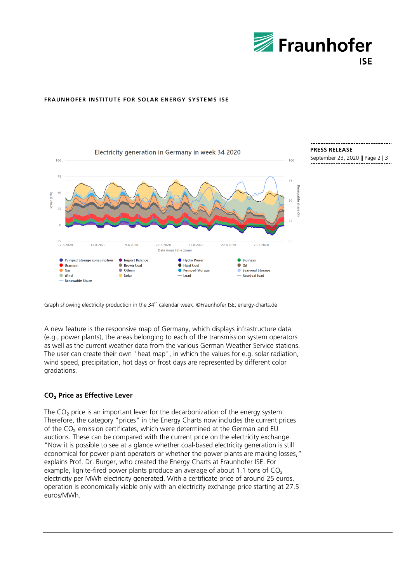

# **FRAUNHOFER INSTITUTE FOR SOLAR ENERGY SYSTEMS ISE**



**PRESS RELEASE**

September 23, 2020 || Page 2 | 3

Graph showing electricity production in the 34<sup>th</sup> calendar week. ©Fraunhofer ISE; energy-charts.de

A new feature is the responsive map of Germany, which displays infrastructure data (e.g., power plants), the areas belonging to each of the transmission system operators as well as the current weather data from the various German Weather Service stations. The user can create their own "heat map", in which the values for e.g. solar radiation, wind speed, precipitation, hot days or frost days are represented by different color gradations.

# **CO**₂ **Price as Effective Lever**

The CO<sub>2</sub> price is an important lever for the decarbonization of the energy system. Therefore, the category "prices" in the Energy Charts now includes the current prices of the CO₂ emission certificates, which were determined at the German and EU auctions. These can be compared with the current price on the electricity exchange. "Now it is possible to see at a glance whether coal-based electricity generation is still economical for power plant operators or whether the power plants are making losses," explains Prof. Dr. Burger, who created the Energy Charts at Fraunhofer ISE. For example, lignite-fired power plants produce an average of about 1.1 tons of  $CO<sub>2</sub>$ electricity per MWh electricity generated. With a certificate price of around 25 euros, operation is economically viable only with an electricity exchange price starting at 27.5 euros/MWh.